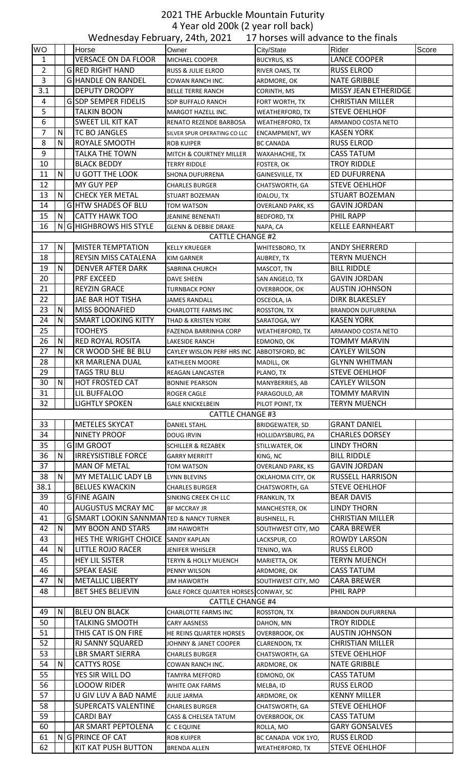## 2021 THE Arbuckle Mountain Futurity 4 Year old 200k (2 year roll back)

|                |                         |  | Wednesday February, 24th, 2021                      |                                      | 17 horses will advance to the finals |                          |       |  |  |  |  |  |  |
|----------------|-------------------------|--|-----------------------------------------------------|--------------------------------------|--------------------------------------|--------------------------|-------|--|--|--|--|--|--|
| <b>WO</b>      |                         |  | Horse                                               | Owner                                | City/State                           | Rider                    | Score |  |  |  |  |  |  |
| $\mathbf{1}$   |                         |  | <b>VERSACE ON DA FLOOR</b>                          | MICHAEL COOPER                       | <b>BUCYRUS, KS</b>                   | <b>LANCE COOPER</b>      |       |  |  |  |  |  |  |
| 2              |                         |  | <b>GIRED RIGHT HAND</b>                             | <b>RUSS &amp; JULIE ELROD</b>        | RIVER OAKS, TX                       | <b>RUSS ELROD</b>        |       |  |  |  |  |  |  |
| 3              |                         |  | <b>G HANDLE ON RANDEL</b>                           | COWAN RANCH INC.                     | ARDMORE, OK                          | <b>NATE GRIBBLE</b>      |       |  |  |  |  |  |  |
| 3.1            |                         |  | <b>DEPUTY DROOPY</b>                                | <b>BELLE TERRE RANCH</b>             | CORINTH, MS                          | MISSY JEAN ETHERIDGE     |       |  |  |  |  |  |  |
| 4              |                         |  | <b>GISDP SEMPER FIDELIS</b>                         | SDP BUFFALO RANCH                    | FORT WORTH, TX                       | <b>CHRISTIAN MILLER</b>  |       |  |  |  |  |  |  |
| 5              |                         |  | <b>TALKIN BOON</b>                                  | MARGOT HAZELL INC.                   | WEATHERFORD, TX                      | <b>STEVE OEHLHOF</b>     |       |  |  |  |  |  |  |
| 6              |                         |  | SWEET LIL KIT KAT                                   | <b>RENATO REZENDE BARBOSA</b>        | <b>WEATHERFORD, TX</b>               | ARMANDO COSTA NETO       |       |  |  |  |  |  |  |
| $\overline{7}$ | $\mathsf{N}$            |  | TC BO JANGLES                                       | SILVER SPUR OPERATING CO LLC         | <b>ENCAMPMENT, WY</b>                | <b>KASEN YORK</b>        |       |  |  |  |  |  |  |
| 8              | N                       |  | ROYALE SMOOTH                                       | <b>ROB KUIPER</b>                    | <b>BC CANADA</b>                     | <b>RUSS ELROD</b>        |       |  |  |  |  |  |  |
| 9              |                         |  | <b>TALKA THE TOWN</b>                               | MITCH & COURTNEY MILLER              | WAXAHACHIE, TX                       | <b>CASS TATUM</b>        |       |  |  |  |  |  |  |
| 10             |                         |  | <b>BLACK BEDDY</b>                                  | TERRY RIDDLE                         | FOSTER, OK                           | <b>TROY RIDDLE</b>       |       |  |  |  |  |  |  |
| 11             | N                       |  | <b>U GOTT THE LOOK</b>                              | SHONA DUFURRENA                      | GAINESVILLE, TX                      | ED DUFURRENA             |       |  |  |  |  |  |  |
| 12             |                         |  | <b>MY GUY PEP</b>                                   | <b>CHARLES BURGER</b>                | CHATSWORTH, GA                       | <b>STEVE OEHLHOF</b>     |       |  |  |  |  |  |  |
| 13             | $\mathsf{N}$            |  | <b>CHECK YER METAL</b>                              | <b>STUART BOZEMAN</b>                | <b>IDALOU, TX</b>                    | STUART BOZEMAN           |       |  |  |  |  |  |  |
| 14             |                         |  | <b>GIHTW SHADES OF BLU</b>                          | TOM WATSON                           | <b>OVERLAND PARK, KS</b>             | <b>GAVIN JORDAN</b>      |       |  |  |  |  |  |  |
| 15             | N                       |  | <b>CATTY HAWK TOO</b>                               | <b>JEANINE BENENATI</b>              | <b>BEDFORD, TX</b>                   | PHIL RAPP                |       |  |  |  |  |  |  |
| 16             |                         |  | N G HIGHBROWS HIS STYLE                             | <b>GLENN &amp; DEBBIE DRAKE</b>      | NAPA, CA                             | <b>KELLE EARNHEART</b>   |       |  |  |  |  |  |  |
|                | <b>CATTLE CHANGE #2</b> |  |                                                     |                                      |                                      |                          |       |  |  |  |  |  |  |
| 17             | N                       |  | <b>MISTER TEMPTATION</b>                            | <b>KELLY KRUEGER</b>                 | WHITESBORO, TX                       | <b>ANDY SHERRERD</b>     |       |  |  |  |  |  |  |
| 18             |                         |  | REYSIN MISS CATALENA                                | KIM GARNER                           | AUBREY, TX                           | <b>TERYN MUENCH</b>      |       |  |  |  |  |  |  |
| 19             | N                       |  | <b>DENVER AFTER DARK</b>                            | SABRINA CHURCH                       | MASCOT, TN                           | <b>BILL RIDDLE</b>       |       |  |  |  |  |  |  |
| 20             |                         |  | <b>PRF EXCEED</b>                                   | DAVE SHEEN                           | SAN ANGELO, TX                       | <b>GAVIN JORDAN</b>      |       |  |  |  |  |  |  |
| 21             |                         |  | <b>REYZIN GRACE</b>                                 | TURNBACK PONY                        | OVERBROOK, OK                        | <b>AUSTIN JOHNSON</b>    |       |  |  |  |  |  |  |
| 22             |                         |  | JAE BAR HOT TISHA                                   | <b>JAMES RANDALL</b>                 | OSCEOLA, IA                          | <b>DIRK BLAKESLEY</b>    |       |  |  |  |  |  |  |
| 23             | $\mathsf{N}$            |  | <b>MISS BOONAFIED</b>                               | CHARLOTTE FARMS INC                  | ROSSTON, TX                          | <b>BRANDON DUFURRENA</b> |       |  |  |  |  |  |  |
| 24             | N                       |  | <b>SMART LOOKING KITTY</b>                          | THAD & KRISTEN YORK                  | SARATOGA, WY                         | <b>KASEN YORK</b>        |       |  |  |  |  |  |  |
| 25             |                         |  | <b>TOOHEYS</b>                                      | FAZENDA BARRINHA CORP                | <b>WEATHERFORD, TX</b>               | ARMANDO COSTA NETO       |       |  |  |  |  |  |  |
| 26             | N                       |  | <b>RED ROYAL ROSITA</b>                             | LAKESIDE RANCH                       | EDMOND, OK                           | <b>TOMMY MARVIN</b>      |       |  |  |  |  |  |  |
| 27             | $\mathsf{N}$            |  | CR WOOD SHE BE BLU                                  | CAYLEY WISLON PERF HRS INC           | ABBOTSFORD, BC                       | <b>CAYLEY WILSON</b>     |       |  |  |  |  |  |  |
| 28             |                         |  | <b>KR MARLENA DUAL</b>                              | KATHLEEN MOORE                       | MADILL, OK                           | <b>GLYNN WHITMAN</b>     |       |  |  |  |  |  |  |
| 29             |                         |  | <b>TAGS TRU BLU</b>                                 | REAGAN LANCASTER                     | PLANO, TX                            | <b>STEVE OEHLHOF</b>     |       |  |  |  |  |  |  |
| 30             | $\mathsf{N}$            |  | <b>HOT FROSTED CAT</b>                              | <b>BONNIE PEARSON</b>                | MANYBERRIES, AB                      | <b>CAYLEY WILSON</b>     |       |  |  |  |  |  |  |
| 31             |                         |  | LIL BUFFALOO                                        | ROGER CAGLE                          | PARAGOULD, AR                        | <b>TOMMY MARVIN</b>      |       |  |  |  |  |  |  |
| 32             |                         |  | <b>LIGHTLY SPOKEN</b>                               | <b>GALE KNICKELBEIN</b>              | PILOT POINT, TX                      | <b>TERYN MUENCH</b>      |       |  |  |  |  |  |  |
|                |                         |  |                                                     | <b>CATTLE CHANGE #3</b>              |                                      |                          |       |  |  |  |  |  |  |
| 33             |                         |  | <b>METELES SKYCAT</b>                               | <b>DANIEL STAHL</b>                  | BRIDGEWATER, SD                      | <b>GRANT DANIEL</b>      |       |  |  |  |  |  |  |
| 34             |                         |  | <b>NINETY PROOF</b>                                 | DOUG IRVIN                           | HOLLIDAYSBURG, PA                    | <b>CHARLES DORSEY</b>    |       |  |  |  |  |  |  |
| 35             |                         |  | G IM GROOT                                          | <b>SCHILLER &amp; REZABEK</b>        | STILLWATER, OK                       | <b>LINDY THORN</b>       |       |  |  |  |  |  |  |
| 36             | $\mathsf{N}$            |  | <b>IRREYSISTIBLE FORCE</b>                          | <b>GARRY MERRITT</b>                 | KING, NC                             | <b>BILL RIDDLE</b>       |       |  |  |  |  |  |  |
| 37             |                         |  | <b>MAN OF METAL</b>                                 | <b>TOM WATSON</b>                    | <b>OVERLAND PARK, KS</b>             | <b>GAVIN JORDAN</b>      |       |  |  |  |  |  |  |
| 38             | N.                      |  | MY METALLIC LADY LB                                 | <b>LYNN BLEVINS</b>                  | OKLAHOMA CITY, OK                    | <b>RUSSELL HARRISON</b>  |       |  |  |  |  |  |  |
| 38.1           |                         |  | <b>BELUES KWACKIN</b>                               | <b>CHARLES BURGER</b>                | CHATSWORTH, GA                       | <b>STEVE OEHLHOF</b>     |       |  |  |  |  |  |  |
| 39             |                         |  | G FINE AGAIN                                        | SINKING CREEK CH LLC                 | FRANKLIN, TX                         | <b>BEAR DAVIS</b>        |       |  |  |  |  |  |  |
| 40             |                         |  | <b>AUGUSTUS MCRAY MC</b>                            | <b>BF MCCRAY JR</b>                  | MANCHESTER, OK                       | <b>LINDY THORN</b>       |       |  |  |  |  |  |  |
| 41             |                         |  | <b>GISMART LOOKIN SANNMANTED &amp; NANCY TURNER</b> |                                      | <b>BUSHNELL, FL</b>                  | <b>CHRISTIAN MILLER</b>  |       |  |  |  |  |  |  |
| 42             | $\mathsf{N}$            |  | MY BOON AND STARS                                   | JIM HAWORTH                          | SOUTHWEST CITY, MO                   | <b>CARA BREWER</b>       |       |  |  |  |  |  |  |
| 43             |                         |  | HES THE WRIGHT CHOICE                               | <b>SANDY KAPLAN</b>                  | LACKSPUR, CO                         | <b>ROWDY LARSON</b>      |       |  |  |  |  |  |  |
| 44             | N                       |  | <b>LITTLE ROJO RACER</b>                            | JENIFER WHISLER                      | TENINO, WA                           | <b>RUSS ELROD</b>        |       |  |  |  |  |  |  |
| 45             |                         |  | HEY LIL SISTER                                      | TERYN & HOLLY MUENCH                 | MARIETTA, OK                         | <b>TERYN MUENCH</b>      |       |  |  |  |  |  |  |
| 46             |                         |  | <b>SPEAK EASIE</b>                                  | PENNY WILSON                         | ARDMORE, OK                          | <b>CASS TATUM</b>        |       |  |  |  |  |  |  |
| 47             | N                       |  | <b>METALLIC LIBERTY</b>                             | <b>JIM HAWORTH</b>                   | SOUTHWEST CITY, MO                   | <b>CARA BREWER</b>       |       |  |  |  |  |  |  |
| 48             |                         |  | <b>BET SHES BELIEVIN</b>                            | GALE FORCE QUARTER HORSES CONWAY, SC |                                      | PHIL RAPP                |       |  |  |  |  |  |  |
|                |                         |  |                                                     | <b>CATTLE CHANGE #4</b>              |                                      |                          |       |  |  |  |  |  |  |
| 49             | N                       |  | <b>BLEU ON BLACK</b>                                | CHARLOTTE FARMS INC                  | ROSSTON, TX                          | <b>BRANDON DUFURRENA</b> |       |  |  |  |  |  |  |
| 50             |                         |  | <b>TALKING SMOOTH</b>                               | <b>CARY AASNESS</b>                  | DAHON, MN                            | <b>TROY RIDDLE</b>       |       |  |  |  |  |  |  |
| 51             |                         |  | THIS CAT IS ON FIRE                                 | HE REINS QUARTER HORSES              | <b>OVERBROOK, OK</b>                 | <b>AUSTIN JOHNSON</b>    |       |  |  |  |  |  |  |
| 52             |                         |  | RJ SANNY SQUARED                                    | JOHNNY & JANET COOPER                | CLARENDON, TX                        | <b>CHRISTIAN MILLER</b>  |       |  |  |  |  |  |  |
| 53             |                         |  | <b>LBR SMART SIERRA</b>                             | <b>CHARLES BURGER</b>                | CHATSWORTH, GA                       | <b>STEVE OEHLHOF</b>     |       |  |  |  |  |  |  |
| 54             | N                       |  | <b>CATTYS ROSE</b>                                  | COWAN RANCH INC.                     | ARDMORE, OK                          | <b>NATE GRIBBLE</b>      |       |  |  |  |  |  |  |
| 55             |                         |  | YES SIR WILL DO                                     | <b>TAMYRA MEFFORD</b>                | EDMOND, OK                           | <b>CASS TATUM</b>        |       |  |  |  |  |  |  |
| 56             |                         |  | <b>LOOOW RIDER</b>                                  | WHITE OAK FARMS                      | MELBA, ID                            | <b>RUSS ELROD</b>        |       |  |  |  |  |  |  |
| 57             |                         |  | U GIV LUV A BAD NAME                                | <b>JULIE JARMA</b>                   | ARDMORE, OK                          | <b>KENNY MILLER</b>      |       |  |  |  |  |  |  |
| 58             |                         |  | <b>SUPERCATS VALENTINE</b>                          | <b>CHARLES BURGER</b>                | CHATSWORTH, GA                       | <b>STEVE OEHLHOF</b>     |       |  |  |  |  |  |  |
| 59             |                         |  | <b>CARDI BAY</b>                                    | CASS & CHELSEA TATUM                 | OVERBROOK, OK                        | <b>CASS TATUM</b>        |       |  |  |  |  |  |  |
| 60             |                         |  | AR SMART PEPTOLENA                                  | C C EQUINE                           | ROLLA, MO                            | <b>GARY GONSALVES</b>    |       |  |  |  |  |  |  |
| 61             |                         |  | NG PRINCE OF CAT                                    | <b>ROB KUIPER</b>                    | BC CANADA VOK 1YO,                   | <b>RUSS ELROD</b>        |       |  |  |  |  |  |  |
| 62             |                         |  | KIT KAT PUSH BUTTON                                 | <b>BRENDA ALLEN</b>                  | <b>WEATHERFORD, TX</b>               | <b>STEVE OEHLHOF</b>     |       |  |  |  |  |  |  |